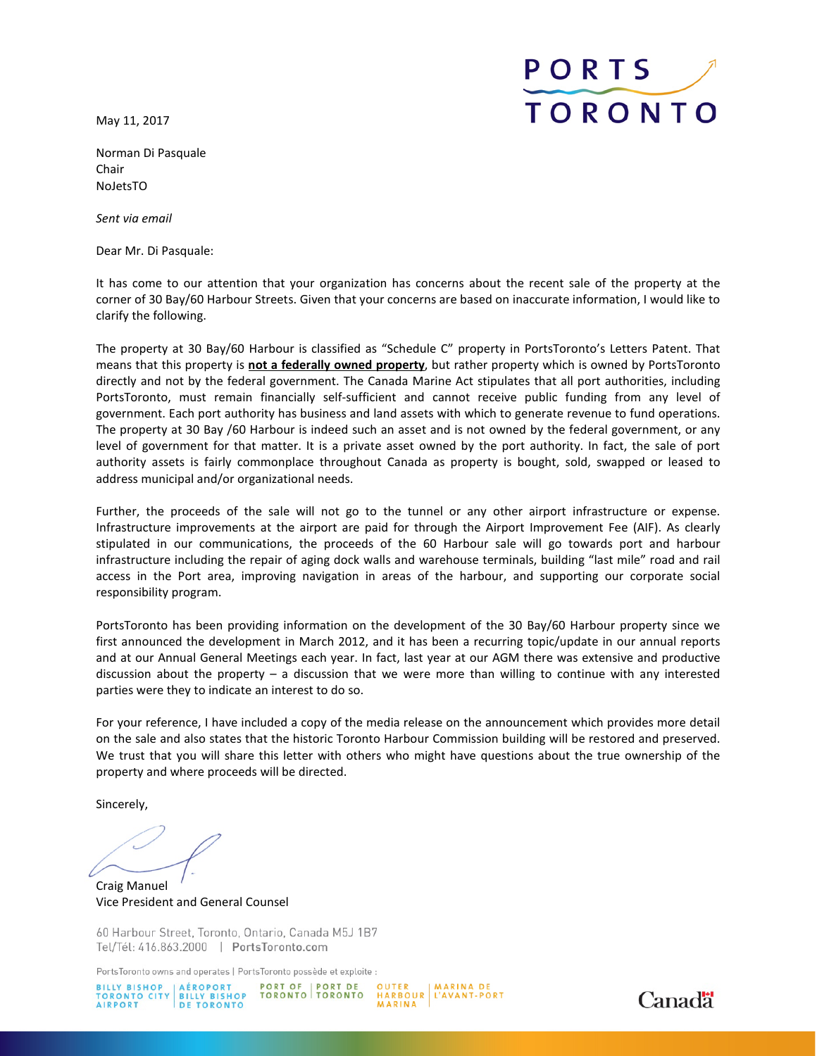May 11, 2017



Norman Di Pasquale Chair NoJetsTO

*Sent via email*

Dear Mr. Di Pasquale:

It has come to our attention that your organization has concerns about the recent sale of the property at the corner of 30 Bay/60 Harbour Streets. Given that your concerns are based on inaccurate information, I would like to clarify the following.

The property at 30 Bay/60 Harbour is classified as "Schedule C" property in PortsToronto's Letters Patent. That means that this property is **not a federally owned property**, but rather property which is owned by PortsToronto directly and not by the federal government. The Canada Marine Act stipulates that all port authorities, including PortsToronto, must remain financially self-sufficient and cannot receive public funding from any level of government. Each port authority has business and land assets with which to generate revenue to fund operations. The property at 30 Bay /60 Harbour is indeed such an asset and is not owned by the federal government, or any level of government for that matter. It is a private asset owned by the port authority. In fact, the sale of port authority assets is fairly commonplace throughout Canada as property is bought, sold, swapped or leased to address municipal and/or organizational needs.

Further, the proceeds of the sale will not go to the tunnel or any other airport infrastructure or expense. Infrastructure improvements at the airport are paid for through the Airport Improvement Fee (AIF). As clearly stipulated in our communications, the proceeds of the 60 Harbour sale will go towards port and harbour infrastructure including the repair of aging dock walls and warehouse terminals, building "last mile" road and rail access in the Port area, improving navigation in areas of the harbour, and supporting our corporate social responsibility program.

PortsToronto has been providing information on the development of the 30 Bay/60 Harbour property since we first announced the development in March 2012, and it has been a recurring topic/update in our annual reports and at our Annual General Meetings each year. In fact, last year at our AGM there was extensive and productive discussion about the property – a discussion that we were more than willing to continue with any interested parties were they to indicate an interest to do so.

For your reference, I have included a copy of the media release on the announcement which provides more detail on the sale and also states that the historic Toronto Harbour Commission building will be restored and preserved. We trust that you will share this letter with others who might have questions about the true ownership of the property and where proceeds will be directed.

Sincerely,

Craig Manuel Vice President and General Counsel

60 Harbour Street, Toronto, Ontario, Canada M5J 1B7 Tel/Tél: 416.863.2000 | PortsToronto.com

PortsToronto owns and operates | PortsToronto possède et exploite :

PORT OF PORT DE<br>TORONTO TORONTO



MARINA DE HARBOUR L'AVANT-PORT MARINA

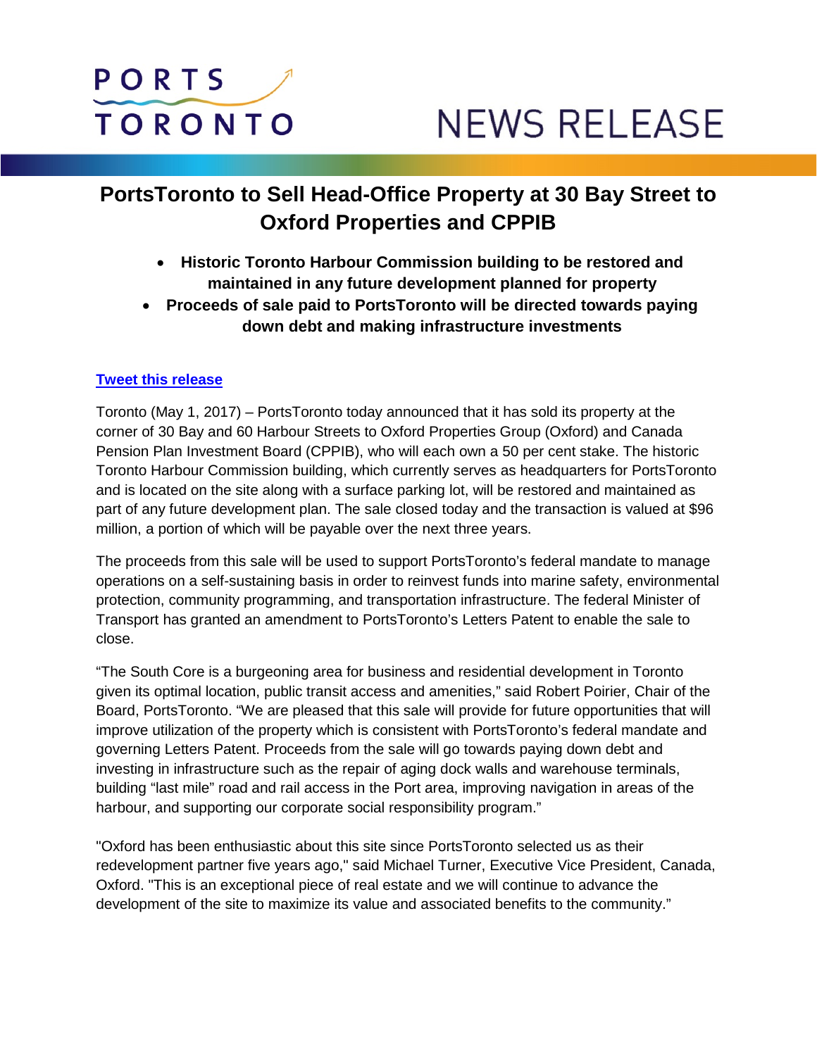## PORTS **TORONTO**

# **NEWS RELEASE**

## **PortsToronto to Sell Head-Office Property at 30 Bay Street to Oxford Properties and CPPIB**

- **Historic Toronto Harbour Commission building to be restored and maintained in any future development planned for property**
- **Proceeds of sale paid to PortsToronto will be directed towards paying down debt and making infrastructure investments**

### **[Tweet this release](https://twitter.com/intent/tweet?original_referer=https%3A%2F%2Fpublish.twitter.com%2F&ref_src=twsrc%5Etfw&text=.%40PortsToronto%20to%20Sell%20Head-Office%20Property%20at%2030%20Bay%20Street%20to%20Oxford%20Properties%20and%20CPPIB&tw_p=tweetbutton&url=http%3A%2F%2Fbit.ly%2F2ql0cPF)**

Toronto (May 1, 2017) – PortsToronto today announced that it has sold its property at the corner of 30 Bay and 60 Harbour Streets to Oxford Properties Group (Oxford) and Canada Pension Plan Investment Board (CPPIB), who will each own a 50 per cent stake. The historic Toronto Harbour Commission building, which currently serves as headquarters for PortsToronto and is located on the site along with a surface parking lot, will be restored and maintained as part of any future development plan. The sale closed today and the transaction is valued at \$96 million, a portion of which will be payable over the next three years.

The proceeds from this sale will be used to support PortsToronto's federal mandate to manage operations on a self-sustaining basis in order to reinvest funds into marine safety, environmental protection, community programming, and transportation infrastructure. The federal Minister of Transport has granted an amendment to PortsToronto's Letters Patent to enable the sale to close.

"The South Core is a burgeoning area for business and residential development in Toronto given its optimal location, public transit access and amenities," said Robert Poirier, Chair of the Board, PortsToronto. "We are pleased that this sale will provide for future opportunities that will improve utilization of the property which is consistent with PortsToronto's federal mandate and governing Letters Patent. Proceeds from the sale will go towards paying down debt and investing in infrastructure such as the repair of aging dock walls and warehouse terminals, building "last mile" road and rail access in the Port area, improving navigation in areas of the harbour, and supporting our corporate social responsibility program."

"Oxford has been enthusiastic about this site since PortsToronto selected us as their redevelopment partner five years ago," said Michael Turner, Executive Vice President, Canada, Oxford. "This is an exceptional piece of real estate and we will continue to advance the development of the site to maximize its value and associated benefits to the community."